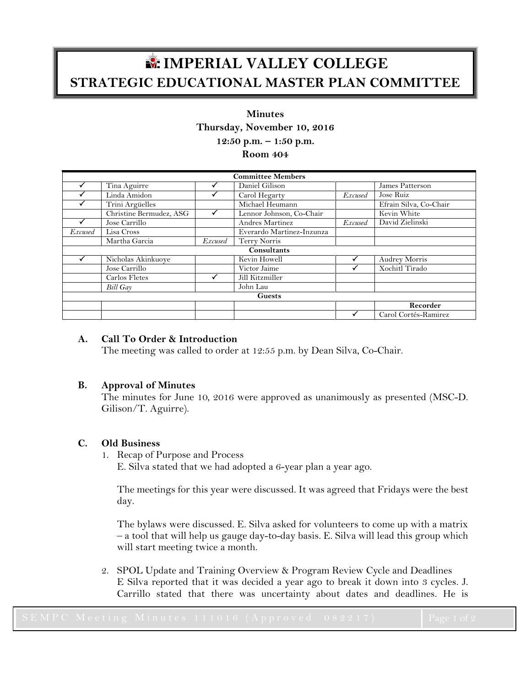# **IMPERIAL VALLEY COLLEGE STRATEGIC EDUCATIONAL MASTER PLAN COMMITTEE**

## **Minutes**

**Thursday, November 10, 2016**

**12:50 p.m. – 1:50 p.m.**

**Room 404**

| <b>Committee Members</b> |                         |         |                           |                |                        |
|--------------------------|-------------------------|---------|---------------------------|----------------|------------------------|
|                          | Tina Aguirre            |         | Daniel Gilison            |                | James Patterson        |
|                          | Linda Amidon            |         | Carol Hegarty             | <b>Excused</b> | Jose Ruiz              |
|                          | Trini Argüelles         |         | Michael Heumann           |                | Efrain Silva, Co-Chair |
|                          | Christine Bermudez, ASG |         | Lennor Johnson, Co-Chair  |                | Kevin White            |
|                          | Jose Carrillo           |         | Andres Martinez           | Excused        | David Zielinski        |
| <i>Excused</i>           | Lisa Cross              |         | Everardo Martinez-Inzunza |                |                        |
|                          | Martha Garcia           | Excused | Terry Norris              |                |                        |
| <b>Consultants</b>       |                         |         |                           |                |                        |
|                          | Nicholas Akinkuoye      |         | Kevin Howell              |                | <b>Audrey Morris</b>   |
|                          | Jose Carrillo           |         | Victor Jaime              |                | Xochitl Tirado         |
|                          | Carlos Fletes           |         | Jill Kitzmiller           |                |                        |
|                          | <b>Bill Gay</b>         |         | John Lau                  |                |                        |
| <b>Guests</b>            |                         |         |                           |                |                        |
|                          |                         |         |                           |                | Recorder               |
|                          |                         |         |                           |                | Carol Cortés-Ramirez   |

### **A. Call To Order & Introduction**

The meeting was called to order at 12:55 p.m. by Dean Silva, Co-Chair.

#### **B. Approval of Minutes**

The minutes for June 10, 2016 were approved as unanimously as presented (MSC-D. Gilison/T. Aguirre).

#### **C. Old Business**

1. Recap of Purpose and Process

E. Silva stated that we had adopted a 6-year plan a year ago.

The meetings for this year were discussed. It was agreed that Fridays were the best day.

The bylaws were discussed. E. Silva asked for volunteers to come up with a matrix – a tool that will help us gauge day-to-day basis. E. Silva will lead this group which will start meeting twice a month.

2. SPOL Update and Training Overview & Program Review Cycle and Deadlines E Silva reported that it was decided a year ago to break it down into 3 cycles. J. Carrillo stated that there was uncertainty about dates and deadlines. He is